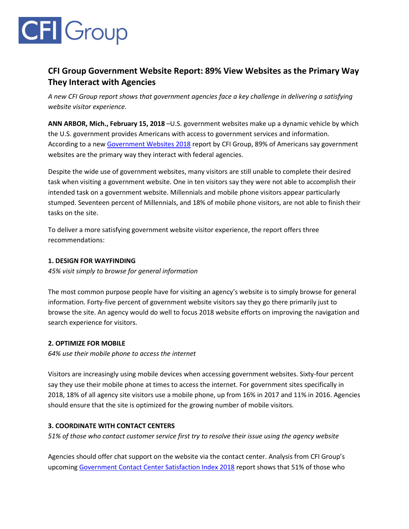# **CFI** Group

## **CFI Group Government Website Report: 89% View Websites as the Primary Way They Interact with Agencies**

*A new CFI Group report shows that government agencies face a key challenge in delivering a satisfying website visitor experience.*

**ANN ARBOR, Mich., February 15, 2018** –U.S. government websites make up a dynamic vehicle by which the U.S. government provides Americans with access to government services and information. According to a new [Government Websites 2018](https://cfigroup.com/resource-item/government-websites-2018/) report by CFI Group, 89% of Americans say government websites are the primary way they interact with federal agencies.

Despite the wide use of government websites, many visitors are still unable to complete their desired task when visiting a government website. One in ten visitors say they were not able to accomplish their intended task on a government website. Millennials and mobile phone visitors appear particularly stumped. Seventeen percent of Millennials, and 18% of mobile phone visitors, are not able to finish their tasks on the site.

To deliver a more satisfying government website visitor experience, the report offers three recommendations:

#### **1. DESIGN FOR WAYFINDING**

*45% visit simply to browse for general information*

The most common purpose people have for visiting an agency's website is to simply browse for general information. Forty-five percent of government website visitors say they go there primarily just to browse the site. An agency would do well to focus 2018 website efforts on improving the navigation and search experience for visitors.

### **2. OPTIMIZE FOR MOBILE**

*64% use their mobile phone to access the internet*

Visitors are increasingly using mobile devices when accessing government websites. Sixty-four percent say they use their mobile phone at times to access the internet. For government sites specifically in 2018, 18% of all agency site visitors use a mobile phone, up from 16% in 2017 and 11% in 2016. Agencies should ensure that the site is optimized for the growing number of mobile visitors.

### **3. COORDINATE WITH CONTACT CENTERS**

*51% of those who contact customer service first try to resolve their issue using the agency website*

Agencies should offer chat support on the website via the contact center. Analysis from CFI Group's upcoming [Government Contact Center Satisfaction Index 2018](https://cfigroup.com/resource-item/gccsi-2018/) report shows that 51% of those who